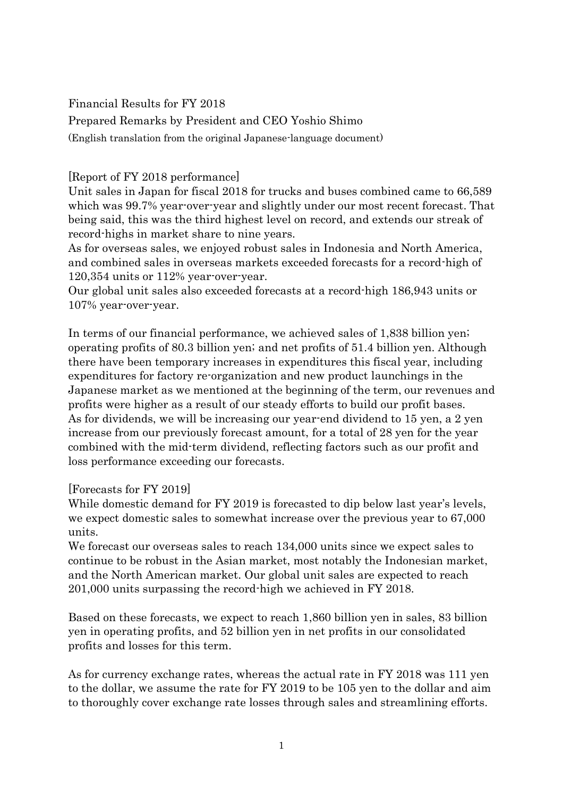Financial Results for FY 2018

Prepared Remarks by President and CEO Yoshio Shimo

(English translation from the original Japanese-language document)

## [Report of FY 2018 performance]

Unit sales in Japan for fiscal 2018 for trucks and buses combined came to 66,589 which was 99.7% year-over-year and slightly under our most recent forecast. That being said, this was the third highest level on record, and extends our streak of record-highs in market share to nine years.

As for overseas sales, we enjoyed robust sales in Indonesia and North America, and combined sales in overseas markets exceeded forecasts for a record-high of 120,354 units or 112% year-over-year.

Our global unit sales also exceeded forecasts at a record-high 186,943 units or 107% year-over-year.

In terms of our financial performance, we achieved sales of 1,838 billion yen; operating profits of 80.3 billion yen; and net profits of 51.4 billion yen. Although there have been temporary increases in expenditures this fiscal year, including expenditures for factory re-organization and new product launchings in the Japanese market as we mentioned at the beginning of the term, our revenues and profits were higher as a result of our steady efforts to build our profit bases. As for dividends, we will be increasing our year-end dividend to 15 yen, a 2 yen increase from our previously forecast amount, for a total of 28 yen for the year combined with the mid-term dividend, reflecting factors such as our profit and loss performance exceeding our forecasts.

### [Forecasts for FY 2019]

While domestic demand for FY 2019 is forecasted to dip below last year's levels, we expect domestic sales to somewhat increase over the previous year to 67,000 units.

We forecast our overseas sales to reach 134,000 units since we expect sales to continue to be robust in the Asian market, most notably the Indonesian market, and the North American market. Our global unit sales are expected to reach 201,000 units surpassing the record-high we achieved in FY 2018.

Based on these forecasts, we expect to reach 1,860 billion yen in sales, 83 billion yen in operating profits, and 52 billion yen in net profits in our consolidated profits and losses for this term.

As for currency exchange rates, whereas the actual rate in FY 2018 was 111 yen to the dollar, we assume the rate for FY 2019 to be 105 yen to the dollar and aim to thoroughly cover exchange rate losses through sales and streamlining efforts.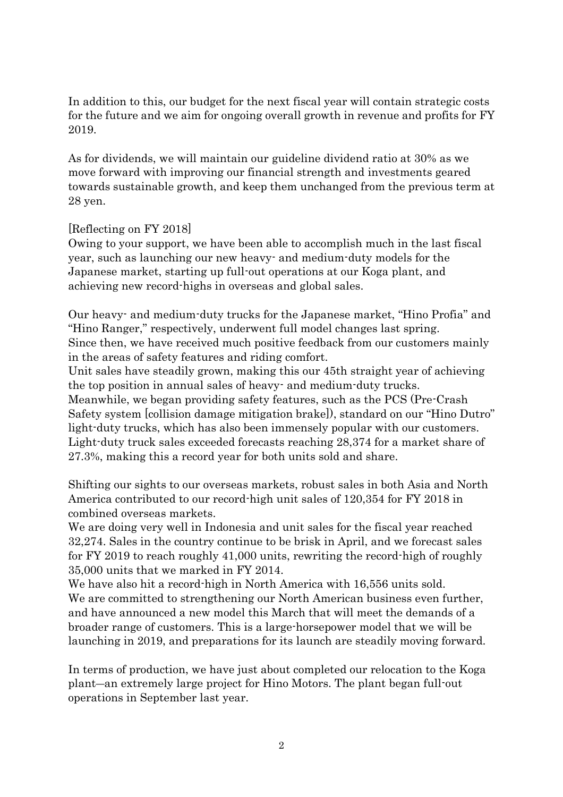In addition to this, our budget for the next fiscal year will contain strategic costs for the future and we aim for ongoing overall growth in revenue and profits for FY 2019.

As for dividends, we will maintain our guideline dividend ratio at 30% as we move forward with improving our financial strength and investments geared towards sustainable growth, and keep them unchanged from the previous term at 28 yen.

### [Reflecting on FY 2018]

Owing to your support, we have been able to accomplish much in the last fiscal year, such as launching our new heavy- and medium-duty models for the Japanese market, starting up full-out operations at our Koga plant, and achieving new record-highs in overseas and global sales.

Our heavy- and medium-duty trucks for the Japanese market, "Hino Profia" and "Hino Ranger," respectively, underwent full model changes last spring. Since then, we have received much positive feedback from our customers mainly in the areas of safety features and riding comfort.

Unit sales have steadily grown, making this our 45th straight year of achieving the top position in annual sales of heavy- and medium-duty trucks. Meanwhile, we began providing safety features, such as the PCS (Pre-Crash Safety system [collision damage mitigation brake]), standard on our "Hino Dutro" light-duty trucks, which has also been immensely popular with our customers. Light-duty truck sales exceeded forecasts reaching 28,374 for a market share of 27.3%, making this a record year for both units sold and share.

Shifting our sights to our overseas markets, robust sales in both Asia and North America contributed to our record-high unit sales of 120,354 for FY 2018 in combined overseas markets.

We are doing very well in Indonesia and unit sales for the fiscal year reached 32,274. Sales in the country continue to be brisk in April, and we forecast sales for FY 2019 to reach roughly 41,000 units, rewriting the record-high of roughly 35,000 units that we marked in FY 2014.

We have also hit a record-high in North America with 16,556 units sold. We are committed to strengthening our North American business even further, and have announced a new model this March that will meet the demands of a broader range of customers. This is a large-horsepower model that we will be launching in 2019, and preparations for its launch are steadily moving forward.

In terms of production, we have just about completed our relocation to the Koga plant―an extremely large project for Hino Motors. The plant began full-out operations in September last year.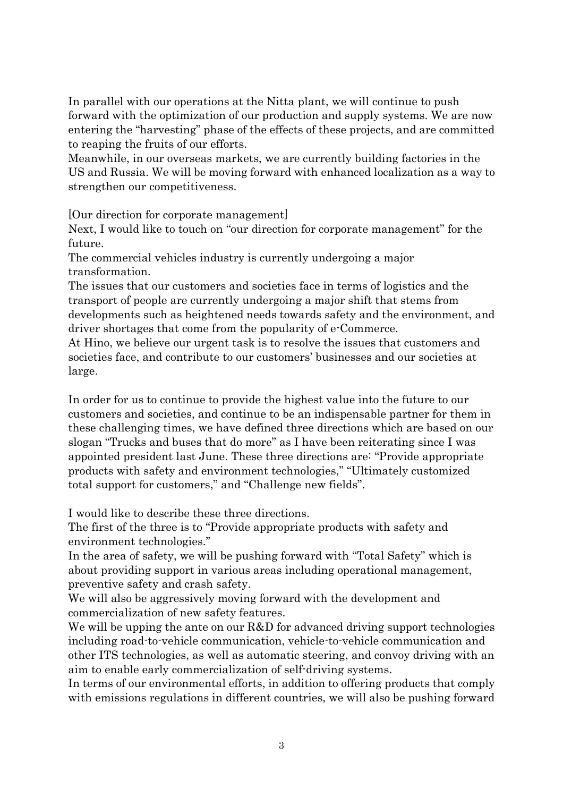In parallel with our operations at the Nitta plant, we will continue to push forward with the optimization of our production and supply systems. We are now entering the "harvesting" phase of the effects of these projects, and are committed to reaping the fruits of our efforts.

Meanwhile, in our overseas markets, we are currently building factories in the US and Russia. We will be moving forward with enhanced localization as a way to strengthen our competitiveness.

[Our direction for corporate management]

Next, I would like to touch on "our direction for corporate management" for the future.

The commercial vehicles industry is currently undergoing a major transformation.

The issues that our customers and societies face in terms of logistics and the transport of people are currently undergoing a major shift that stems from developments such as heightened needs towards safety and the environment, and driver shortages that come from the popularity of e-Commerce.

At Hino, we believe our urgent task is to resolve the issues that customers and societies face, and contribute to our customers' businesses and our societies at large.

In order for us to continue to provide the highest value into the future to our customers and societies, and continue to be an indispensable partner for them in these challenging times, we have defined three directions which are based on our slogan "Trucks and buses that do more" as I have been reiterating since I was appointed president last June. These three directions are: "Provide appropriate products with safety and environment technologies," "Ultimately customized total support for customers," and "Challenge new fields".

I would like to describe these three directions.

The first of the three is to "Provide appropriate products with safety and environment technologies."

In the area of safety, we will be pushing forward with "Total Safety" which is about providing support in various areas including operational management, preventive safety and crash safety.

We will also be aggressively moving forward with the development and commercialization of new safety features.

We will be upping the ante on our R&D for advanced driving support technologies including road-to-vehicle communication, vehicle-to-vehicle communication and other ITS technologies, as well as automatic steering, and convoy driving with an aim to enable early commercialization of self-driving systems.

In terms of our environmental efforts, in addition to offering products that comply with emissions regulations in different countries, we will also be pushing forward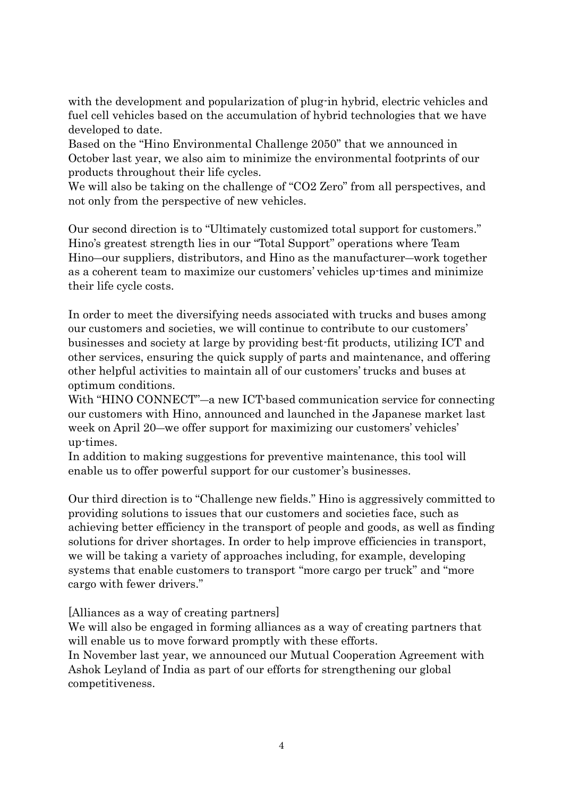with the development and popularization of plug-in hybrid, electric vehicles and fuel cell vehicles based on the accumulation of hybrid technologies that we have developed to date.

Based on the "Hino Environmental Challenge 2050" that we announced in October last year, we also aim to minimize the environmental footprints of our products throughout their life cycles.

We will also be taking on the challenge of "CO2 Zero" from all perspectives, and not only from the perspective of new vehicles.

Our second direction is to "Ultimately customized total support for customers." Hino's greatest strength lies in our "Total Support" operations where Team Hino―our suppliers, distributors, and Hino as the manufacturer―work together as a coherent team to maximize our customers' vehicles up-times and minimize their life cycle costs.

In order to meet the diversifying needs associated with trucks and buses among our customers and societies, we will continue to contribute to our customers' businesses and society at large by providing best-fit products, utilizing ICT and other services, ensuring the quick supply of parts and maintenance, and offering other helpful activities to maintain all of our customers' trucks and buses at optimum conditions.

With "HINO CONNECT"—a new ICT-based communication service for connecting our customers with Hino, announced and launched in the Japanese market last week on April 20—we offer support for maximizing our customers' vehicles' up-times.

In addition to making suggestions for preventive maintenance, this tool will enable us to offer powerful support for our customer's businesses.

Our third direction is to "Challenge new fields." Hino is aggressively committed to providing solutions to issues that our customers and societies face, such as achieving better efficiency in the transport of people and goods, as well as finding solutions for driver shortages. In order to help improve efficiencies in transport, we will be taking a variety of approaches including, for example, developing systems that enable customers to transport "more cargo per truck" and "more cargo with fewer drivers."

[Alliances as a way of creating partners]

We will also be engaged in forming alliances as a way of creating partners that will enable us to move forward promptly with these efforts.

In November last year, we announced our Mutual Cooperation Agreement with Ashok Leyland of India as part of our efforts for strengthening our global competitiveness.